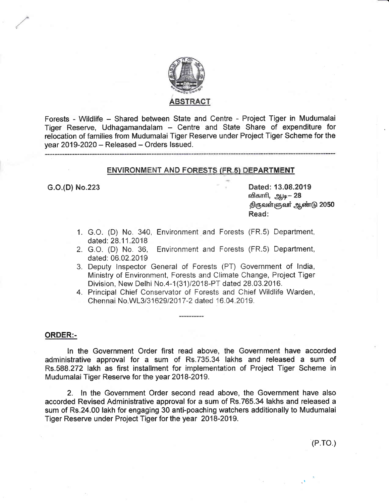

Forests - Wildlife - Shared between State and Centre - Project Tiger in Mudumalai Tiger Reserve, Udhagamandalam - Centre and State Share of expenditure for relocation of families from Mudumalai Tiger Reserve under Project Tiger Scheme for the year 2019-2020 - Released - Orders Issued.

## **ENVIRONMENT AND FORESTS (FR.5) DEPARTMENT**

G.O.(D) No.223

Dated: 13.08.2019 விகாரி, ஆடி— 28 திருவள்ளுவா் ஆண்டு 2050 Read:

- 1. G.O. (D) No. 340, Environment and Forests (FR.5) Department, dated: 28.11.2018
- 2. G.O. (D) No. 36. Environment and Forests (FR.5) Department, dated: 06.02.2019
- 3. Deputy Inspector General of Forests (PT) Government of India, Ministry of Environment, Forests and Climate Change, Project Tiger Division, New Delhi No.4-1(31)/2018-PT dated 28.03.2016.
- 4. Principal Chief Conservator of Forests and Chief Wildlife Warden, Chennai No.WL3/31629/2017-2 dated 16.04.2019.

### **ORDER:-**

In the Government Order first read above, the Government have accorded administrative approval for a sum of Rs.735.34 lakhs and released a sum of Rs.588.272 lakh as first installment for implementation of Project Tiger Scheme in Mudumalai Tiger Reserve for the year 2018-2019.

2. In the Government Order second read above, the Government have also accorded Revised Administrative approval for a sum of Rs.765.34 lakhs and released a sum of Rs.24.00 lakh for engaging 30 anti-poaching watchers additionally to Mudumalai Tiger Reserve under Project Tiger for the year 2018-2019.

 $(P.TO.)$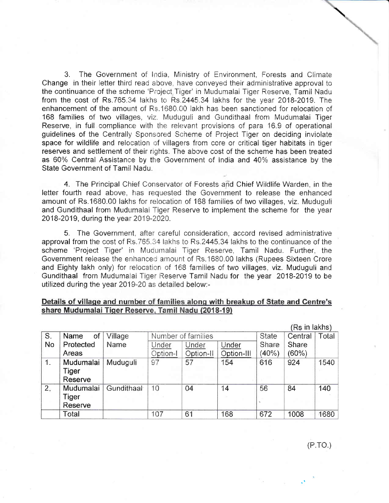3. The Government of India, Ministry of Environment, Forests and Climate Change in their letter third read above, have conveyed their administrative approval to the continuance of the scheme 'Project Tiger' in Mudumalai Tiger Reserve, Tamil Nadu from the cost of Rs.765.34 lakhs to Rs.2445.34 lakhs for the year 2018-2019. The enhancement of the amount of Rs.1680.00 lakh has been sanctioned for relocation of 168 families of two villages, viz. Muduguli and Gundithaal from Mudumalai Tiger Reserve, in full compliance with the relevant provisions of para 16.9 of operational guidelines of the Centrally Sponsored Scheme of Project Tiger on deciding inviolate space for wildlife and relocation of villagers from core or critical tiger habitats in tiger reserves and settlement of their rights. The above cost of the scheme has been treated as 60% Central Assistance by the Government of India and 40% assistance by the State Government of Tamil Nadu.

4. The Principal Chief Conservator of Forests and Chief Wildlife Warden, in the letter fourth read above, has requested the Government to release the enhanced amount of Rs.1680.00 lakhs for relocation of 168 families of two villages, viz. Muduguli and Gundithaal from Mudumalai Tiger Reserve to implement the scheme for the year 2018-2019, during the year 2019-2020.

5. The Government, after careful consideration, accord revised administrative approval from the cost of Rs.765.34 lakhs to Rs.2445.34 lakhs to the continuance of the scheme 'Project Tiger' in Mudumalai Tiger Reserve, Tamil Nadu. Further, the Government release the enhanced amount of Rs.1680.00 lakhs (Rupees Sixteen Crore and Eighty lakh only) for relocation of 168 families of two villages, viz. Muduguli and Gundithaal from Mudumalai Tiger Reserve Tamil Nadu for the year 2018-2019 to be utilized during the year 2019-20 as detailed below:-

# Details of village and number of families along with breakup of State and Centre's share Mudumalai Tiger Reserve, Tamil Nadu (2018-19)

|                |            |            |                    |           |            |              | (Rs in lakhs) |       |
|----------------|------------|------------|--------------------|-----------|------------|--------------|---------------|-------|
| S.             | of<br>Name | Village    | Number of families |           |            | <b>State</b> | Central       | Total |
| <b>No</b>      | Protected  | Name       | Under              | Under     | Under      | Share        | Share         |       |
|                | Areas      |            | Option-I           | Option-II | Option-III | (40%         | $(60\%)$      |       |
| $\mathbf{1}$ . | Mudumalai  | Muduguli   | 97                 | 57        | 154        | 616          | 924           | 1540  |
|                | Tiger      |            |                    |           |            |              |               |       |
|                | Reserve    |            |                    |           |            |              |               |       |
| 2.             | Mudumalai  | Gundithaal | 10                 | 04        | 14         | 56           | 84            | 140   |
|                | Tiger      |            |                    |           |            |              |               |       |
|                | Reserve    |            |                    |           |            |              |               |       |
|                | Total      |            | 107                | 61        | 168        | 672          | 1008          | 1680  |

 $(P.TO.)$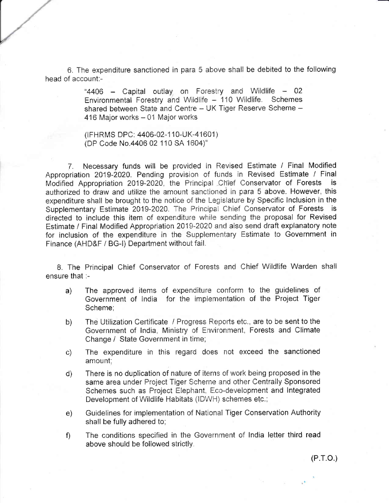6. The expenditure sanctioned in para 5 above shall be debited to the following head of account:-

> "4406 - Capital outlay on Forestry and Wildlife - 02 Environmental Forestry and Wildlife - 110 Wildlife. Schemes shared between State and Centre - UK Tiger Reserve Scheme -416 Major works - 01 Major works

(IFHRMS DPC: 4406-02-110-UK-41601) (DP Code No.4406 02 110 SA 1604)"

Necessary funds will be provided in Revised Estimate / Final Modified  $7.$ Appropriation 2019-2020. Pending provision of funds in Revised Estimate / Final Modified Appropriation 2019-2020, the Principal Chief Conservator of Forests is authorized to draw and utilize the amount sanctioned in para 5 above. However, this expenditure shall be brought to the notice of the Legislature by Specific Inclusion in the Supplementary Estimate 2019-2020. The Principal Chief Conservator of Forests is directed to include this item of expenditure while sending the proposal for Revised Estimate / Final Modified Appropriation 2019-2020 and also send draft explanatory note for inclusion of the expenditure in the Supplementary Estimate to Government in Finance (AHD&F / BG-I) Department without fail.

8. The Principal Chief Conservator of Forests and Chief Wildlife Warden shall ensure that :-

- The approved items of expenditure conform to the guidelines of  $a)$ Government of India for the implementation of the Project Tiger Scheme:
- The Utilization Certificate / Progress Reports etc., are to be sent to the  $b)$ Government of India, Ministry of Environment, Forests and Climate Change / State Government in time:
- The expenditure in this regard does not exceed the sanctioned  $\circ$ ) amount:
- There is no duplication of nature of items of work being proposed in the d) same area under Project Tiger Scheme and other Centrally Sponsored Schemes such as Project Elephant, Eco-development and Integrated Development of Wildlife Habitats (IDWH) schemes etc.;
- Guidelines for implementation of National Tiger Conservation Authority  $e)$ shall be fully adhered to:
- The conditions specified in the Government of India letter third read  $\mathsf{f}$ above should be followed strictly.